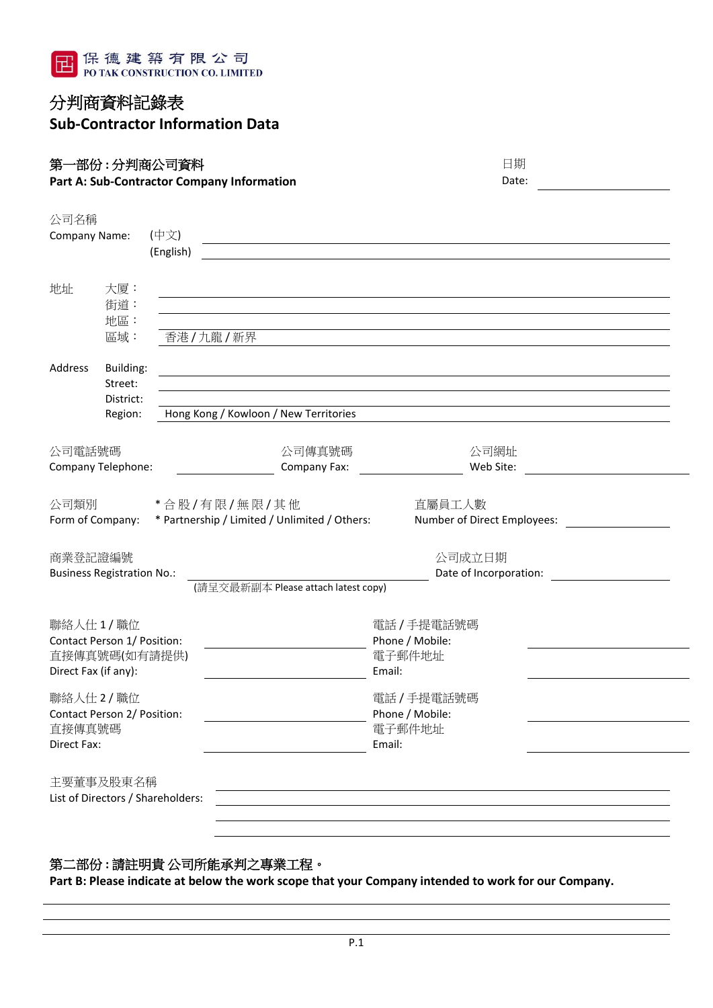

## 分判商資料記錄表 **Sub-Contractor Information Data**

**第一部份 : 分判商公司資料<br>Part A: Sub-Contractor Company Information Date: Part A: Sub-Contractor Company Information** 

| 公司名稱                        |                                   |                                   |                                               |                             |  |  |  |  |
|-----------------------------|-----------------------------------|-----------------------------------|-----------------------------------------------|-----------------------------|--|--|--|--|
| Company Name:               |                                   | (中文)                              |                                               |                             |  |  |  |  |
|                             |                                   | (English)                         |                                               |                             |  |  |  |  |
|                             |                                   |                                   |                                               |                             |  |  |  |  |
| 地址                          | 大厦:                               |                                   |                                               |                             |  |  |  |  |
|                             | 街道:<br>地區:                        |                                   |                                               |                             |  |  |  |  |
|                             | 區域:                               |                                   | 香港/九龍/新界                                      |                             |  |  |  |  |
|                             |                                   |                                   |                                               |                             |  |  |  |  |
| Address                     | Building:                         |                                   |                                               |                             |  |  |  |  |
|                             | Street:                           |                                   |                                               |                             |  |  |  |  |
|                             | District:<br>Region:              |                                   | Hong Kong / Kowloon / New Territories         |                             |  |  |  |  |
|                             |                                   |                                   |                                               |                             |  |  |  |  |
| 公司電話號碼                      |                                   |                                   | 公司傳真號碼                                        | 公司網址                        |  |  |  |  |
|                             | Company Telephone:                |                                   | Company Fax:                                  | Web Site:                   |  |  |  |  |
|                             |                                   |                                   |                                               |                             |  |  |  |  |
| 公司類別                        |                                   |                                   | *合股/有限/無限/其他                                  | 直屬員工人數                      |  |  |  |  |
|                             | Form of Company:                  |                                   | * Partnership / Limited / Unlimited / Others: | Number of Direct Employees: |  |  |  |  |
|                             |                                   |                                   |                                               |                             |  |  |  |  |
| 商業登記證編號                     |                                   |                                   |                                               | 公司成立日期                      |  |  |  |  |
|                             | <b>Business Registration No.:</b> |                                   | (請呈交最新副本 Please attach latest copy)           | Date of Incorporation:      |  |  |  |  |
|                             |                                   |                                   |                                               |                             |  |  |  |  |
|                             | 聯絡人仕1/職位                          |                                   |                                               | 電話 / 手提電話號碼                 |  |  |  |  |
|                             | Contact Person 1/ Position:       |                                   |                                               | Phone / Mobile:             |  |  |  |  |
|                             | 直接傳真號碼(如有請提供)                     |                                   |                                               | 電子郵件地址                      |  |  |  |  |
| Direct Fax (if any):        |                                   |                                   |                                               | Email:                      |  |  |  |  |
|                             | 聯絡人仕2/職位                          |                                   |                                               | 電話 / 手提電話號碼                 |  |  |  |  |
| Contact Person 2/ Position: |                                   |                                   |                                               | Phone / Mobile:             |  |  |  |  |
| 直接傳真號碼                      |                                   |                                   | 電子郵件地址                                        |                             |  |  |  |  |
| Direct Fax:                 |                                   |                                   |                                               | Email:                      |  |  |  |  |
|                             | 主要董事及股東名稱                         |                                   |                                               |                             |  |  |  |  |
|                             |                                   | List of Directors / Shareholders: |                                               |                             |  |  |  |  |
|                             |                                   |                                   |                                               |                             |  |  |  |  |
|                             |                                   |                                   |                                               |                             |  |  |  |  |

#### 第二部份 **:** 請註明貴 公司所能承判之專業工程。

**Part B: Please indicate at below the work scope that your Company intended to work for our Company.**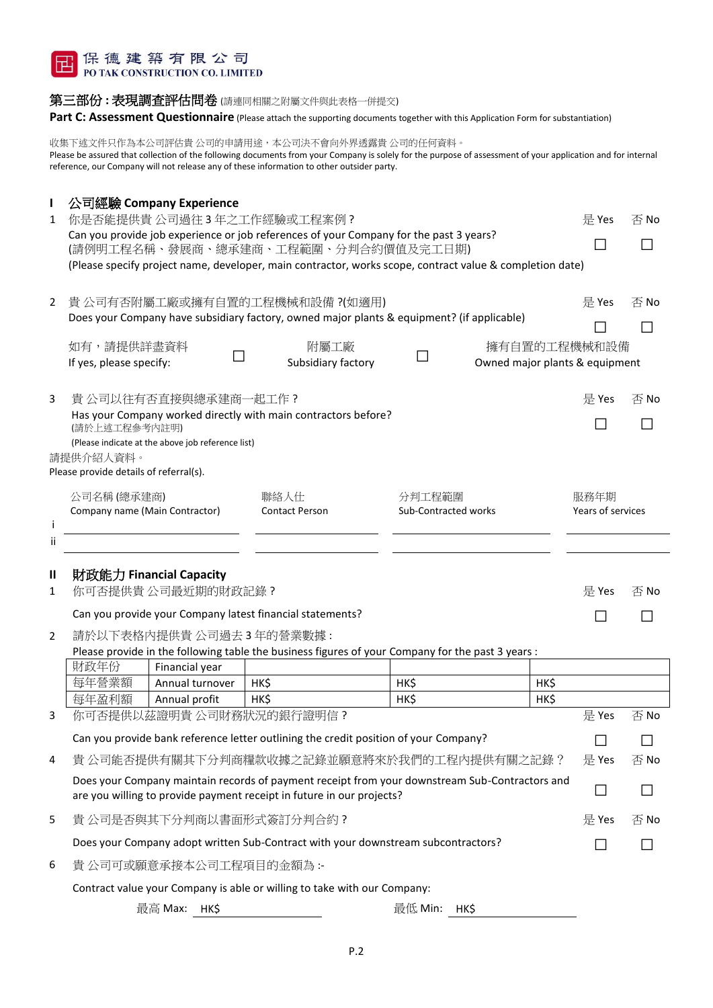

#### 第三部份: 表現調查評估問卷 (請連同相關之附屬文件與此表格一併提交)

Part C: Assessment Questionnaire (Please attach the supporting documents together with this Application Form for substantiation)

收集下述文件只作為本公司評估貴 公司的申請用途,本公司決不會向外界透露貴 公司的任何資料。 Please be assured that collection of the following documents from your Company is solely for the purpose of assessment of your application and for internal reference, our Company will not release any of these information to other outsider party.

| L              | 公司經驗 Company Experience                                                                                                                                                 |                            |                      |                                                |       |      |  |  |
|----------------|-------------------------------------------------------------------------------------------------------------------------------------------------------------------------|----------------------------|----------------------|------------------------------------------------|-------|------|--|--|
| 1              | 你是否能提供貴公司過往3年之工作經驗或工程案例?<br>Can you provide job experience or job references of your Company for the past 3 years?                                                      | 是 Yes                      | 否 No                 |                                                |       |      |  |  |
|                | (請例明工程名稱、發展商、總承建商、工程範圍、分判合約價值及完工日期)                                                                                                                                     |                            |                      |                                                |       |      |  |  |
|                | (Please specify project name, developer, main contractor, works scope, contract value & completion date)                                                                |                            |                      |                                                |       |      |  |  |
| $\overline{2}$ | 貴公司有否附屬工廠或擁有自置的工程機械和設備?(如適用)<br>是 Yes                                                                                                                                   |                            |                      |                                                |       |      |  |  |
|                | Does your Company have subsidiary factory, owned major plants & equipment? (if applicable)                                                                              |                            | 否 No                 |                                                |       |      |  |  |
|                |                                                                                                                                                                         |                            |                      |                                                |       |      |  |  |
|                | 如有,請提供詳盡資料<br>If yes, please specify:                                                                                                                                   | 附屬工廠<br>Subsidiary factory |                      | 擁有自置的工程機械和設備<br>Owned major plants & equipment |       |      |  |  |
|                |                                                                                                                                                                         |                            |                      |                                                |       |      |  |  |
| 3              | 貴 公司以往有否直接與總承建商一起工作?                                                                                                                                                    |                            |                      |                                                | 是 Yes | 否 No |  |  |
|                | Has your Company worked directly with main contractors before?<br>(請於上述工程參考內註明)                                                                                         |                            |                      |                                                |       |      |  |  |
|                | (Please indicate at the above job reference list)                                                                                                                       |                            |                      |                                                |       |      |  |  |
|                | 請提供介紹人資料。                                                                                                                                                               |                            |                      |                                                |       |      |  |  |
|                | Please provide details of referral(s).                                                                                                                                  |                            |                      |                                                |       |      |  |  |
|                | 公司名稱(總承建商)<br>聯絡人仕                                                                                                                                                      |                            | 分判工程範圍               |                                                | 服務年期  |      |  |  |
| Ť              | Company name (Main Contractor)<br><b>Contact Person</b>                                                                                                                 |                            | Sub-Contracted works | Years of services                              |       |      |  |  |
| ij             |                                                                                                                                                                         |                            |                      |                                                |       |      |  |  |
|                |                                                                                                                                                                         |                            |                      |                                                |       |      |  |  |
| Ш              | 財政能力 Financial Capacity                                                                                                                                                 |                            |                      |                                                |       |      |  |  |
| 1              | 你可否提供貴公司最近期的財政記錄?                                                                                                                                                       |                            |                      |                                                | 是 Yes | 否 No |  |  |
|                | Can you provide your Company latest financial statements?                                                                                                               |                            |                      |                                                |       |      |  |  |
| $\overline{2}$ | 請於以下表格內提供貴 公司過去 3 年的營業數據:                                                                                                                                               |                            |                      |                                                |       |      |  |  |
|                | Please provide in the following table the business figures of your Company for the past 3 years :                                                                       |                            |                      |                                                |       |      |  |  |
|                | 財政年份<br>Financial year<br>每年營業額<br>HK\$<br>Annual turnover                                                                                                              |                            | HK\$                 | HK\$                                           |       |      |  |  |
|                | 每年盈利額<br>HK\$<br>Annual profit                                                                                                                                          |                            | HK\$                 | HK\$                                           |       |      |  |  |
| 3              | 你可否提供以茲證明貴公司財務狀況的銀行證明信?                                                                                                                                                 |                            |                      |                                                | 是 Yes | 否 No |  |  |
|                | Can you provide bank reference letter outlining the credit position of your Company?                                                                                    |                            |                      |                                                |       |      |  |  |
| 4              | 貴 公司能否提供有關其下分判商糧款收據之記錄並願意將來於我們的工程內提供有關之記錄?                                                                                                                              |                            |                      |                                                |       | 否No  |  |  |
|                | Does your Company maintain records of payment receipt from your downstream Sub-Contractors and<br>are you willing to provide payment receipt in future in our projects? |                            |                      |                                                |       |      |  |  |
| 5              | 貴公司是否與其下分判商以書面形式簽訂分判合約?                                                                                                                                                 |                            |                      |                                                |       | 否 No |  |  |
|                | Does your Company adopt written Sub-Contract with your downstream subcontractors?                                                                                       |                            |                      |                                                |       |      |  |  |
| 6              | 貴 公司可或願意承接本公司工程項目的金額為 :-                                                                                                                                                |                            |                      |                                                |       |      |  |  |

Contract value your Company is able or willing to take with our Company:

最高 Max: HK\$ **Nine Max: HK\$** 最低 Min: HK\$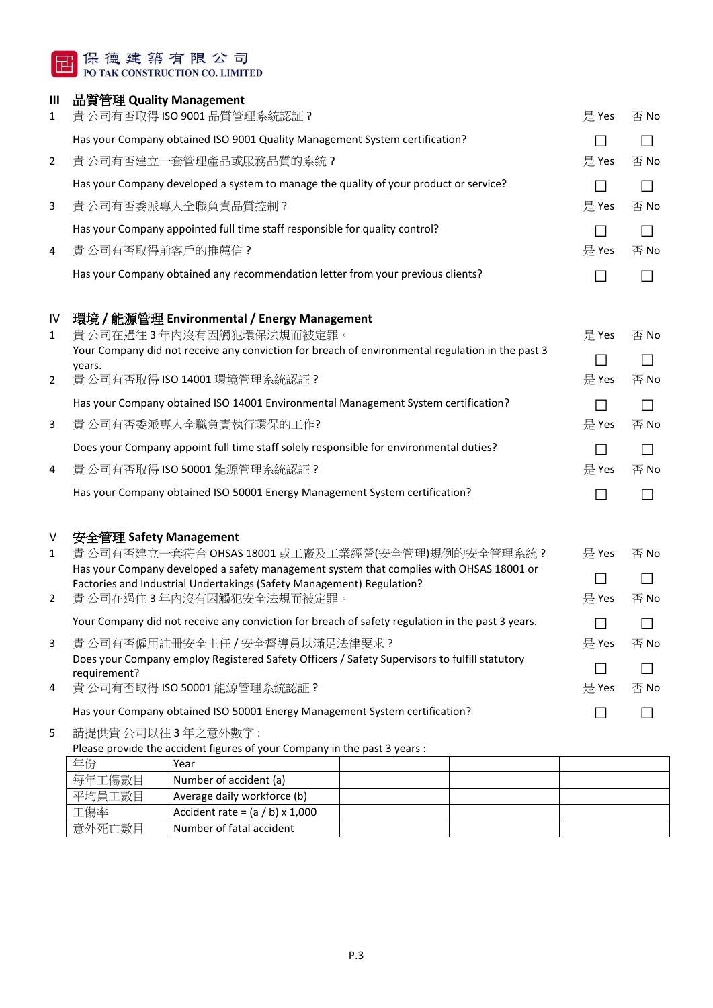# 日保德建築有限公司<br>POTAK CONSTRUCTION CO. LIMITED

#### **III** 品質管理 **Quality Management**

| 1              | 貴 公司有否取得 ISO 9001 品質管理系統認証?                                                                                                                   | 是 Yes                    | 否No  |
|----------------|-----------------------------------------------------------------------------------------------------------------------------------------------|--------------------------|------|
|                | Has your Company obtained ISO 9001 Quality Management System certification?                                                                   | $\Box$                   |      |
| $\overline{2}$ | 貴 公司有否建立一套管理產品或服務品質的系統?                                                                                                                       | 是 Yes                    | 否 No |
|                | Has your Company developed a system to manage the quality of your product or service?                                                         | $\Box$                   |      |
| 3              | 貴 公司有否委派專人全職負責品質控制?                                                                                                                           | 是 Yes                    | 否 No |
|                | Has your Company appointed full time staff responsible for quality control?                                                                   |                          |      |
| 4              | 貴 公司有否取得前客戶的推薦信?                                                                                                                              | 是 Yes                    | 否 No |
|                | Has your Company obtained any recommendation letter from your previous clients?                                                               |                          |      |
| IV             | 環境 / 能源管理 Environmental / Energy Management                                                                                                   |                          |      |
| 1              | 貴 公司在過往3年內沒有因觸犯環保法規而被定罪。<br>Your Company did not receive any conviction for breach of environmental regulation in the past 3                  | 是 Yes                    | 否 No |
|                | years.                                                                                                                                        | $\overline{\phantom{a}}$ |      |
| $\overline{2}$ | 貴公司有否取得 ISO 14001 環境管理系統認証?                                                                                                                   | 是 Yes                    | 否 No |
|                | Has your Company obtained ISO 14001 Environmental Management System certification?                                                            | $\Box$                   |      |
| 3              | 貴 公司有否委派專人全職負責執行環保的工作?                                                                                                                        | 是 Yes                    | 否No  |
|                | Does your Company appoint full time staff solely responsible for environmental duties?                                                        | $\Box$                   |      |
| 4              | 貴 公司有否取得 ISO 50001 能源管理系統認証?                                                                                                                  | 是 Yes                    | 否 No |
|                | Has your Company obtained ISO 50001 Energy Management System certification?                                                                   | $\mathsf{L}$             |      |
| V              | 安全管理 Safety Management                                                                                                                        |                          |      |
| $\mathbf{1}$   | 貴 公司有否建立一套符合 OHSAS 18001 或工廠及工業經營(安全管理)規例的安全管理系統 ?<br>Has your Company developed a safety management system that complies with OHSAS 18001 or | 是 Yes                    | 否No  |
|                | Factories and Industrial Undertakings (Safety Management) Regulation?                                                                         | $\Box$                   |      |
| $\overline{2}$ | 貴 公司在過住 3 年内沒有因觸犯安全法規而被定罪。                                                                                                                    | 是 Yes                    | 否 No |
|                | Your Company did not receive any conviction for breach of safety regulation in the past 3 years.                                              | $\mathsf{L}$             |      |
|                | 貴公司有否僱用註冊安全主任 / 安全督導員以滿足法律要求?<br>Does your Company employ Registered Safety Officers / Safety Supervisors to fulfill statutory                | 是 Yes                    | 否 No |
|                | requirement?                                                                                                                                  |                          |      |
| 4              | 貴公司有否取得 ISO 50001 能源管理系統認証?                                                                                                                   | 是 Yes                    | 否 No |
|                | Has your Company obtained ISO 50001 Energy Management System certification?                                                                   | $\mathsf{L}$             |      |
| 5              | 請提供貴公司以往3年之意外數字:                                                                                                                              |                          |      |

Please provide the accident figures of your Company in the past 3 years :

| 年份     | Year                                   |  |  |
|--------|----------------------------------------|--|--|
| 每年工傷數目 | Number of accident (a)                 |  |  |
| 平均員工數目 | Average daily workforce (b)            |  |  |
| 工傷率    | Accident rate = $(a / b) \times 1,000$ |  |  |
| 意外死亡數目 | Number of fatal accident               |  |  |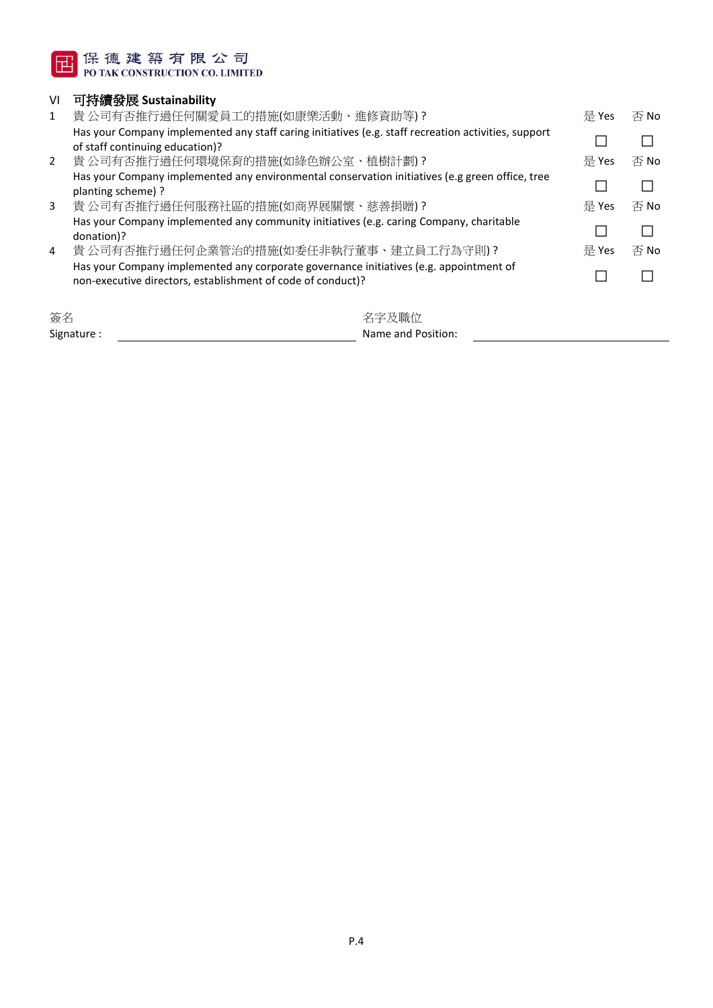

### VI 可持續發展 **Sustainability**

| 1              | 貴 公司有否推行過任何關愛員工的措施(如康樂活動、進修資助等)?                                                                     | 是 Yes | 否 No |
|----------------|------------------------------------------------------------------------------------------------------|-------|------|
|                | Has your Company implemented any staff caring initiatives (e.g. staff recreation activities, support |       |      |
|                | of staff continuing education)?                                                                      |       |      |
| $2^{\circ}$    | 貴公司有否推行過任何環境保育的措施(如綠色辦公室、植樹計劃)?                                                                      | 是 Yes | 否 No |
|                | Has your Company implemented any environmental conservation initiatives (e.g green office, tree      |       |      |
|                | planting scheme)?                                                                                    |       |      |
| 3              | 貴公司有否推行過任何服務社區的措施(如商界展關懷、慈善捐贈)?                                                                      | 是 Yes | 否 No |
|                | Has your Company implemented any community initiatives (e.g. caring Company, charitable              |       |      |
|                | donation)?                                                                                           |       |      |
| $\overline{4}$ | 貴 公司有否推行過任何企業管治的措施(如委任非執行董事、建立員工行為守則) ?                                                              | 是 Yes | 否 No |
|                | Has your Company implemented any corporate governance initiatives (e.g. appointment of               |       |      |
|                | non-executive directors, establishment of code of conduct)?                                          |       |      |
|                |                                                                                                      |       |      |
|                |                                                                                                      |       |      |

| 簽名          | 名字及職位              |
|-------------|--------------------|
| Signature : | Name and Position: |